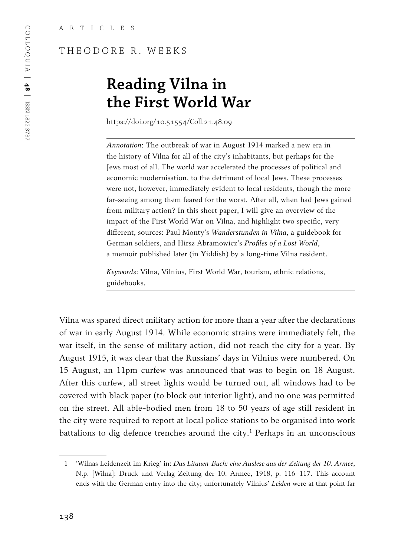## THEODORE R. WEEKS

# **Reading Vilna in the First World War**

https://doi.org/10.51554/Coll.21.48.09

*Annotation*: The outbreak of war in August 1914 marked a new era in the history of Vilna for all of the city's inhabitants, but perhaps for the Jews most of all. The world war accelerated the processes of political and economic modernisation, to the detriment of local Jews. These processes were not, however, immediately evident to local residents, though the more far-seeing among them feared for the worst. After all, when had Jews gained from military action? In this short paper, I will give an overview of the impact of the First World War on Vilna, and highlight two specific, very different, sources: Paul Monty's *Wanderstunden in Vilna*, a guidebook for German soldiers, and Hirsz Abramowicz's *Profiles of a Lost World*, a memoir published later (in Yiddish) by a long-time Vilna resident.

*Keywords*: Vilna, Vilnius, First World War, tourism, ethnic relations, guidebooks.

Vilna was spared direct military action for more than a year after the declarations of war in early August 1914. While economic strains were immediately felt, the war itself, in the sense of military action, did not reach the city for a year. By August 1915, it was clear that the Russians' days in Vilnius were numbered. On 15 August, an 11pm curfew was announced that was to begin on 18 August. After this curfew, all street lights would be turned out, all windows had to be covered with black paper (to block out interior light), and no one was permitted on the street. All able-bodied men from 18 to 50 years of age still resident in the city were required to report at local police stations to be organised into work battalions to dig defence trenches around the city.<sup>1</sup> Perhaps in an unconscious

<sup>1</sup> 'Wilnas Leidenzeit im Krieg' in: *Das Litauen-Buch: eine Auslese aus der Zeitung der 10. Armee*, N.p. [Wilna]: Druck und Verlag Zeitung der 10. Armee, 1918, p. 116–117. This account ends with the German entry into the city; unfortunately Vilnius' *Leiden* were at that point far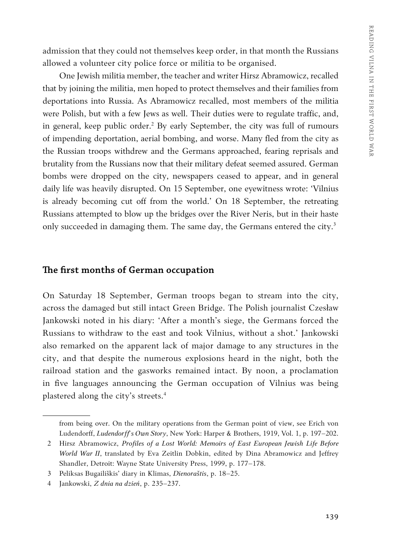admission that they could not themselves keep order, in that month the Russians allowed a volunteer city police force or militia to be organised.

One Jewish militia member, the teacher and writer Hirsz Abramowicz, recalled that by joining the militia, men hoped to protect themselves and their families from deportations into Russia. As Abramowicz recalled, most members of the militia were Polish, but with a few Jews as well. Their duties were to regulate traffic, and, in general, keep public order.<sup>2</sup> By early September, the city was full of rumours of impending deportation, aerial bombing, and worse. Many fled from the city as the Russian troops withdrew and the Germans approached, fearing reprisals and brutality from the Russians now that their military defeat seemed assured. German bombs were dropped on the city, newspapers ceased to appear, and in general daily life was heavily disrupted. On 15 September, one eyewitness wrote: 'Vilnius is already becoming cut off from the world.' On 18 September, the retreating Russians attempted to blow up the bridges over the River Neris, but in their haste only succeeded in damaging them. The same day, the Germans entered the city.<sup>3</sup>

## **The first months of German occupation**

On Saturday 18 September, German troops began to stream into the city, across the damaged but still intact Green Bridge. The Polish journalist Czesław Jankowski noted in his diary: 'After a month's siege, the Germans forced the Russians to withdraw to the east and took Vilnius, without a shot.' Jankowski also remarked on the apparent lack of major damage to any structures in the city, and that despite the numerous explosions heard in the night, both the railroad station and the gasworks remained intact. By noon, a proclamation in five languages announcing the German occupation of Vilnius was being plastered along the city's streets.4

from being over. On the military operations from the German point of view, see Erich von Ludendorff, *Ludendorff's Own Story*, New York: Harper & Brothers, 1919, Vol. 1, p. 197–202.

<sup>2</sup> Hirsz Abramowicz, *Profiles of a Lost World: Memoirs of East European Jewish Life Before World War II*, translated by Eva Zeitlin Dobkin, edited by Dina Abramowicz and Jeffrey Shandler, Detroit: Wayne State University Press, 1999, p. 177–178.

<sup>3</sup> Peliksas Bugailiškis' diary in Klimas, *Dienoraštis*, p. 18–25.

<sup>4</sup> Jankowski, *Z dnia na dzień*, p. 235–237.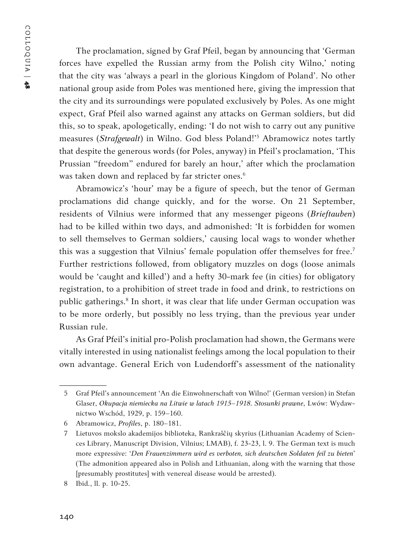The proclamation, signed by Graf Pfeil, began by announcing that 'German forces have expelled the Russian army from the Polish city Wilno,' noting that the city was 'always a pearl in the glorious Kingdom of Poland'. No other national group aside from Poles was mentioned here, giving the impression that the city and its surroundings were populated exclusively by Poles. As one might expect, Graf Pfeil also warned against any attacks on German soldiers, but did this, so to speak, apologetically, ending: 'I do not wish to carry out any punitive measures (*Strafgewalt*) in Wilno. God bless Poland!'<sup>5</sup> Abramowicz notes tartly that despite the generous words (for Poles, anyway) in Pfeil's proclamation, 'This Prussian "freedom" endured for barely an hour,' after which the proclamation was taken down and replaced by far stricter ones.<sup>6</sup>

Abramowicz's 'hour' may be a figure of speech, but the tenor of German proclamations did change quickly, and for the worse. On 21 September, residents of Vilnius were informed that any messenger pigeons (*Brieftauben*) had to be killed within two days, and admonished: 'It is forbidden for women to sell themselves to German soldiers,' causing local wags to wonder whether this was a suggestion that Vilnius' female population offer themselves for free.<sup>7</sup> Further restrictions followed, from obligatory muzzles on dogs (loose animals would be 'caught and killed') and a hefty 30-mark fee (in cities) for obligatory registration, to a prohibition of street trade in food and drink, to restrictions on public gatherings.<sup>8</sup> In short, it was clear that life under German occupation was to be more orderly, but possibly no less trying, than the previous year under Russian rule.

As Graf Pfeil's initial pro-Polish proclamation had shown, the Germans were vitally interested in using nationalist feelings among the local population to their own advantage. General Erich von Ludendorff's assessment of the nationality

<sup>5</sup> Graf Pfeil's announcement 'An die Einwohnerschaft von Wilno!' (German version) in Stefan Glaser, *Okupacja niemiecka na Litwie w latach 1915–1918. Stosunki prawne*, Lwów: Wydawnictwo Wschód, 1929, p. 159–160.

<sup>6</sup> Abramowicz, *Profiles*, p. 180–181.

<sup>7</sup> Lietuvos mokslo akademijos biblioteka, Rankraščių skyrius (Lithuanian Academy of Sciences Library, Manuscript Division, Vilnius; LMAB), f. 23-23, l. 9. The German text is much more expressive: '*Den Frauenzimmern wird es verboten, sich deutschen Soldaten feil zu bieten*' (The admonition appeared also in Polish and Lithuanian, along with the warning that those [presumably prostitutes] with venereal disease would be arrested).

<sup>8</sup> Ibid*.*, ll. p. 10-25.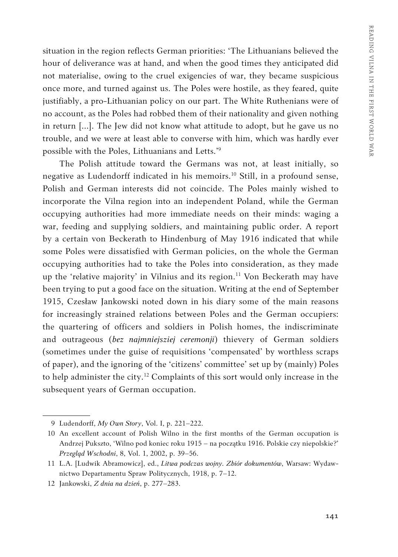situation in the region reflects German priorities: 'The Lithuanians believed the hour of deliverance was at hand, and when the good times they anticipated did not materialise, owing to the cruel exigencies of war, they became suspicious once more, and turned against us. The Poles were hostile, as they feared, quite justifiably, a pro-Lithuanian policy on our part. The White Ruthenians were of no account, as the Poles had robbed them of their nationality and given nothing in return [...]. The Jew did not know what attitude to adopt, but he gave us no trouble, and we were at least able to converse with him, which was hardly ever possible with the Poles, Lithuanians and Letts.'9

The Polish attitude toward the Germans was not, at least initially, so negative as Ludendorff indicated in his memoirs.<sup>10</sup> Still, in a profound sense, Polish and German interests did not coincide. The Poles mainly wished to incorporate the Vilna region into an independent Poland, while the German occupying authorities had more immediate needs on their minds: waging a war, feeding and supplying soldiers, and maintaining public order. A report by a certain von Beckerath to Hindenburg of May 1916 indicated that while some Poles were dissatisfied with German policies, on the whole the German occupying authorities had to take the Poles into consideration, as they made up the 'relative majority' in Vilnius and its region.<sup>11</sup> Von Beckerath may have been trying to put a good face on the situation. Writing at the end of September 1915, Czesław Jankowski noted down in his diary some of the main reasons for increasingly strained relations between Poles and the German occupiers: the quartering of officers and soldiers in Polish homes, the indiscriminate and outrageous (*bez najmniejsziej ceremonji*) thievery of German soldiers (sometimes under the guise of requisitions 'compensated' by worthless scraps of paper), and the ignoring of the 'citizens' committee' set up by (mainly) Poles to help administer the city.<sup>12</sup> Complaints of this sort would only increase in the subsequent years of German occupation.

<sup>9</sup> Ludendorff, *My Own Story*, Vol. I, p. 221–222.

<sup>10</sup> An excellent account of Polish Wilno in the first months of the German occupation is Andrzej Pukszto, 'Wilno pod koniec roku 1915 – na początku 1916. Polskie czy niepolskie?' *Przegląd Wschodni*, 8, Vol. 1, 2002, p. 39–56.

<sup>11</sup> L.A. [Ludwik Abramowicz], ed., *Litwa podczas wojny. Zbiór dokumentów*, Warsaw: Wydawnictwo Departamentu Spraw Politycznych, 1918, p. 7–12.

<sup>12</sup> Jankowski, *Z dnia na dzień*, p. 277–283.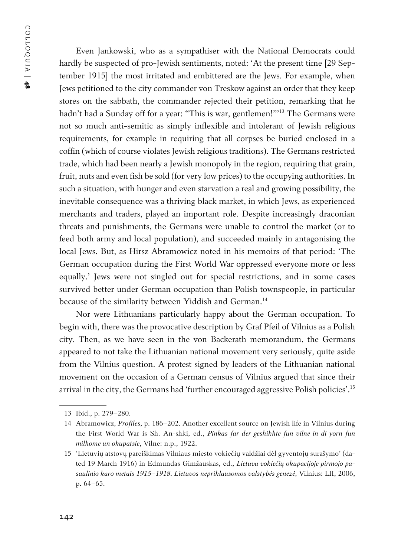Even Jankowski, who as a sympathiser with the National Democrats could hardly be suspected of pro-Jewish sentiments, noted: 'At the present time [29 September 1915] the most irritated and embittered are the Jews. For example, when Jews petitioned to the city commander von Treskow against an order that they keep stores on the sabbath, the commander rejected their petition, remarking that he hadn't had a Sunday off for a year: "This is war, gentlemen!"<sup>13</sup> The Germans were not so much anti-semitic as simply inflexible and intolerant of Jewish religious requirements, for example in requiring that all corpses be buried enclosed in a coffin (which of course violates Jewish religious traditions). The Germans restricted trade, which had been nearly a Jewish monopoly in the region, requiring that grain, fruit, nuts and even fish be sold (for very low prices) to the occupying authorities. In such a situation, with hunger and even starvation a real and growing possibility, the inevitable consequence was a thriving black market, in which Jews, as experienced merchants and traders, played an important role. Despite increasingly draconian threats and punishments, the Germans were unable to control the market (or to feed both army and local population), and succeeded mainly in antagonising the local Jews. But, as Hirsz Abramowicz noted in his memoirs of that period: 'The German occupation during the First World War oppressed everyone more or less equally.' Jews were not singled out for special restrictions, and in some cases survived better under German occupation than Polish townspeople, in particular because of the similarity between Yiddish and German.<sup>14</sup>

Nor were Lithuanians particularly happy about the German occupation. To begin with, there was the provocative description by Graf Pfeil of Vilnius as a Polish city. Then, as we have seen in the von Backerath memorandum, the Germans appeared to not take the Lithuanian national movement very seriously, quite aside from the Vilnius question. A protest signed by leaders of the Lithuanian national movement on the occasion of a German census of Vilnius argued that since their arrival in the city, the Germans had 'further encouraged aggressive Polish policies'.15

<sup>13</sup> Ibid., p. 279–280.

<sup>14</sup> Abramowicz, *Profiles*, p. 186–202. Another excellent source on Jewish life in Vilnius during the First World War is Sh. An-shki, ed., *Pinkas far der geshikhte fun vilne in di yorn fun milhome un okupatsie*, Vilne: n.p., 1922.

<sup>15</sup> 'Lietuvių atstovų pareiškimas Vilniaus miesto vokiečių valdžiai dėl gyventojų surašymo' (dated 19 March 1916) in Edmundas Gimžauskas, ed., *Lietuva vokiečių okupacijoje pirmojo pasaulinio karo metais 1915–1918. Lietuvos nepriklausomos valstybės genezė*, Vilnius: LII, 2006, p. 64–65.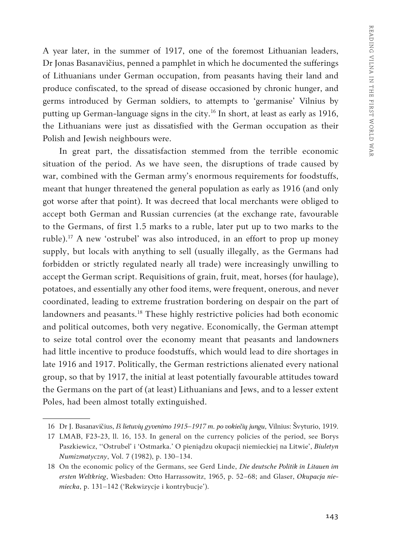A year later, in the summer of 1917, one of the foremost Lithuanian leaders, Dr Jonas Basanavičius, penned a pamphlet in which he documented the sufferings of Lithuanians under German occupation, from peasants having their land and produce confiscated, to the spread of disease occasioned by chronic hunger, and germs introduced by German soldiers, to attempts to 'germanise' Vilnius by putting up German-language signs in the city.<sup>16</sup> In short, at least as early as 1916, the Lithuanians were just as dissatisfied with the German occupation as their Polish and Jewish neighbours were.

In great part, the dissatisfaction stemmed from the terrible economic situation of the period. As we have seen, the disruptions of trade caused by war, combined with the German army's enormous requirements for foodstuffs, meant that hunger threatened the general population as early as 1916 (and only got worse after that point). It was decreed that local merchants were obliged to accept both German and Russian currencies (at the exchange rate, favourable to the Germans, of first 1.5 marks to a ruble, later put up to two marks to the ruble).17 A new 'ostrubel' was also introduced, in an effort to prop up money supply, but locals with anything to sell (usually illegally, as the Germans had forbidden or strictly regulated nearly all trade) were increasingly unwilling to accept the German script. Requisitions of grain, fruit, meat, horses (for haulage), potatoes, and essentially any other food items, were frequent, onerous, and never coordinated, leading to extreme frustration bordering on despair on the part of landowners and peasants.<sup>18</sup> These highly restrictive policies had both economic and political outcomes, both very negative. Economically, the German attempt to seize total control over the economy meant that peasants and landowners had little incentive to produce foodstuffs, which would lead to dire shortages in late 1916 and 1917. Politically, the German restrictions alienated every national group, so that by 1917, the initial at least potentially favourable attitudes toward the Germans on the part of (at least) Lithuanians and Jews, and to a lesser extent Poles, had been almost totally extinguished.

<sup>16</sup> Dr J. Basanavičius, *Iš lietuvių gyvenimo 1915–1917 m. po vokiečių jungu*, Vilnius: Švyturio, 1919.

<sup>17</sup> LMAB, F23-23, ll. 16, 153. In general on the currency policies of the period, see Borys Paszkiewicz, ''Ostrubel' i 'Ostmarka.' O pieniądzu okupacji niemieckiej na Litwie', *Biuletyn Numizmatyczny*, Vol. 7 (1982), p. 130–134.

<sup>18</sup> On the economic policy of the Germans, see Gerd Linde, *Die deutsche Politik in Litauen im ersten Weltkrieg*, Wiesbaden: Otto Harrassowitz, 1965, p. 52–68; and Glaser, *Okupacja niemiecka*, p. 131–142 ('Rekwizycje i kontrybucje').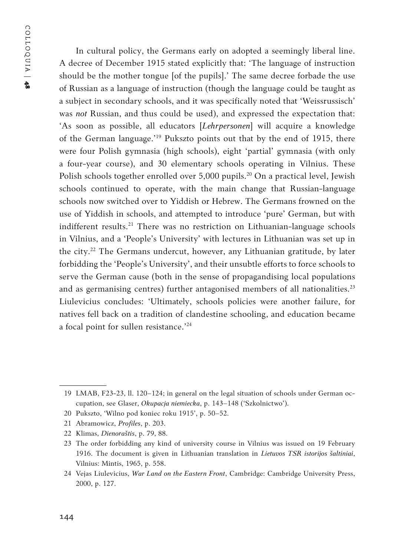In cultural policy, the Germans early on adopted a seemingly liberal line. A decree of December 1915 stated explicitly that: 'The language of instruction should be the mother tongue [of the pupils].' The same decree forbade the use of Russian as a language of instruction (though the language could be taught as a subject in secondary schools, and it was specifically noted that 'Weissrussisch' was *not* Russian, and thus could be used), and expressed the expectation that: 'As soon as possible, all educators [*Lehrpersonen*] will acquire a knowledge of the German language.'19 Pukszto points out that by the end of 1915, there were four Polish gymnasia (high schools), eight 'partial' gymnasia (with only a four-year course), and 30 elementary schools operating in Vilnius. These Polish schools together enrolled over 5,000 pupils.<sup>20</sup> On a practical level, Jewish schools continued to operate, with the main change that Russian-language schools now switched over to Yiddish or Hebrew. The Germans frowned on the use of Yiddish in schools, and attempted to introduce 'pure' German, but with indifferent results.<sup>21</sup> There was no restriction on Lithuanian-language schools in Vilnius, and a 'People's University' with lectures in Lithuanian was set up in the city.22 The Germans undercut, however, any Lithuanian gratitude, by later forbidding the 'People's University', and their unsubtle efforts to force schools to serve the German cause (both in the sense of propagandising local populations and as germanising centres) further antagonised members of all nationalities.<sup>23</sup> Liulevicius concludes: 'Ultimately, schools policies were another failure, for natives fell back on a tradition of clandestine schooling, and education became a focal point for sullen resistance.'24

22 Klimas, *Dienoraštis*, p. 79, 88.

<sup>19</sup> LMAB, F23-23, ll. 120–124; in general on the legal situation of schools under German occupation, see Glaser, *Okupacja niemiecka*, p. 143–148 ('Szkolnictwo').

<sup>20</sup> Pukszto, 'Wilno pod koniec roku 1915', p. 50–52.

<sup>21</sup> Abramowicz, *Profiles*, p. 203.

<sup>23</sup> The order forbidding any kind of university course in Vilnius was issued on 19 February 1916. The document is given in Lithuanian translation in *Lietuvos TSR istorijos šaltiniai*, Vilnius: Mintis, 1965, p. 558.

<sup>24</sup> Vejas Liulevicius, *War Land on the Eastern Front*, Cambridge: Cambridge University Press, 2000, p. 127.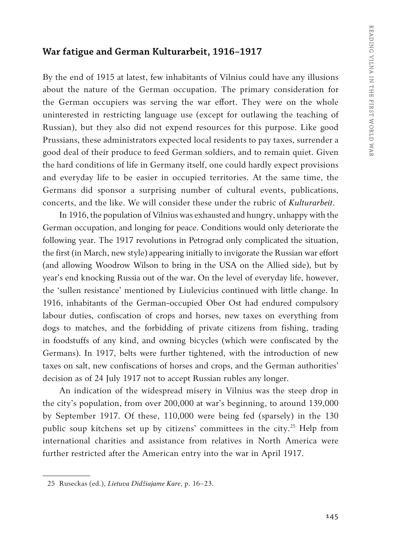#### **War fatigue and German Kulturarbeit, 1916–1917**

By the end of 1915 at latest, few inhabitants of Vilnius could have any illusions about the nature of the German occupation. The primary consideration for the German occupiers was serving the war effort. They were on the whole uninterested in restricting language use (except for outlawing the teaching of Russian), but they also did not expend resources for this purpose. Like good Prussians, these administrators expected local residents to pay taxes, surrender a good deal of their produce to feed German soldiers, and to remain quiet. Given the hard conditions of life in Germany itself, one could hardly expect provisions and everyday life to be easier in occupied territories. At the same time, the Germans did sponsor a surprising number of cultural events, publications, concerts, and the like. We will consider these under the rubric of *Kulturarbeit*.

In 1916, the population of Vilnius was exhausted and hungry, unhappy with the German occupation, and longing for peace. Conditions would only deteriorate the following year. The 1917 revolutions in Petrograd only complicated the situation, the first (in March, new style) appearing initially to invigorate the Russian war effort (and allowing Woodrow Wilson to bring in the USA on the Allied side), but by year's end knocking Russia out of the war. On the level of everyday life, however, the 'sullen resistance' mentioned by Liulevicius continued with little change. In 1916, inhabitants of the German-occupied Ober Ost had endured compulsory labour duties, confiscation of crops and horses, new taxes on everything from dogs to matches, and the forbidding of private citizens from fishing, trading in foodstuffs of any kind, and owning bicycles (which were confiscated by the Germans). In 1917, belts were further tightened, with the introduction of new taxes on salt, new confiscations of horses and crops, and the German authorities' decision as of 24 July 1917 not to accept Russian rubles any longer.

An indication of the widespread misery in Vilnius was the steep drop in the city's population, from over 200,000 at war's beginning, to around 139,000 by September 1917. Of these, 110,000 were being fed (sparsely) in the 130 public soup kitchens set up by citizens' committees in the city.25 Help from international charities and assistance from relatives in North America were further restricted after the American entry into the war in April 1917.

<sup>25</sup> Ruseckas (ed.), *Lietuva Didžiajame Kare*, p. 16–23.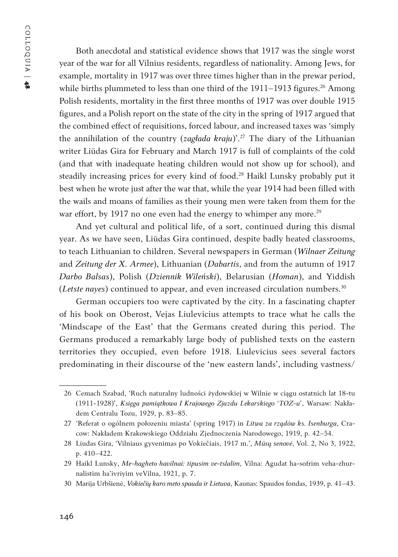Both anecdotal and statistical evidence shows that 1917 was the single worst year of the war for all Vilnius residents, regardless of nationality. Among Jews, for example, mortality in 1917 was over three times higher than in the prewar period, while births plummeted to less than one third of the  $1911-1913$  figures.<sup>26</sup> Among Polish residents, mortality in the first three months of 1917 was over double 1915 figures, and a Polish report on the state of the city in the spring of 1917 argued that the combined effect of requisitions, forced labour, and increased taxes was 'simply the annihilation of the country (*zagłada kraju*)'.27 The diary of the Lithuanian writer Liūdas Gira for February and March 1917 is full of complaints of the cold (and that with inadequate heating children would not show up for school), and steadily increasing prices for every kind of food.<sup>28</sup> Haikl Lunsky probably put it best when he wrote just after the war that, while the year 1914 had been filled with the wails and moans of families as their young men were taken from them for the war effort, by 1917 no one even had the energy to whimper any more.<sup>29</sup>

And yet cultural and political life, of a sort, continued during this dismal year. As we have seen, Liūdas Gira continued, despite badly heated classrooms, to teach Lithuanian to children. Several newspapers in German (*Wilnaer Zeitung* and *Zeitung der X. Armee*), Lithuanian (*Dabartis*, and from the autumn of 1917 *Darbo Balsas*), Polish (*Dziennik Wileński*), Belarusian (*Homan*), and Yiddish (*Letste nayes*) continued to appear, and even increased circulation numbers.<sup>30</sup>

German occupiers too were captivated by the city. In a fascinating chapter of his book on Oberost, Vejas Liulevicius attempts to trace what he calls the 'Mindscape of the East' that the Germans created during this period. The Germans produced a remarkably large body of published texts on the eastern territories they occupied, even before 1918. Liulevicius sees several factors predominating in their discourse of the 'new eastern lands', including vastness/

30 Marija Urbšienė, *Vokiečių karo meto spauda ir Lietuva*, Kaunas: Spaudos fondas, 1939, p. 41–43.

<sup>26</sup> Cemach Szabad, 'Ruch naturalny ludności żydowskiej w Wilnie w ciągu ostatnich lat 18-tu (1911-1928)', *Księga pamiątkowa I Krajowego Zjazdu Lekarskiego 'TOZ-u'*, Warsaw: Nakładem Centralu Tozu, 1929, p. 83–85.

<sup>27</sup> 'Referat o ogólnem połozeniu miasta' (spring 1917) in *Litwa za rządów ks. Isenburga*, Cracow: Nakładem Krakowskiego Oddziału Zjednoczenia Narodowego, 1919, p. 42–54.

<sup>28</sup> Liudas Gira, 'Vilniaus gyvenimas po Vokiečiais, 1917 m.', *Mūsų senovė*, Vol. 2, No 3, 1922, p. 410–422.

<sup>29</sup> Haikl Lunsky, *Me-hagheto havilnai: tipusim ve-tslalim*, Vilna: Agudat ha-sofrim veha-zhurnalistim ha'ivriyim veVilna, 1921, p. 7.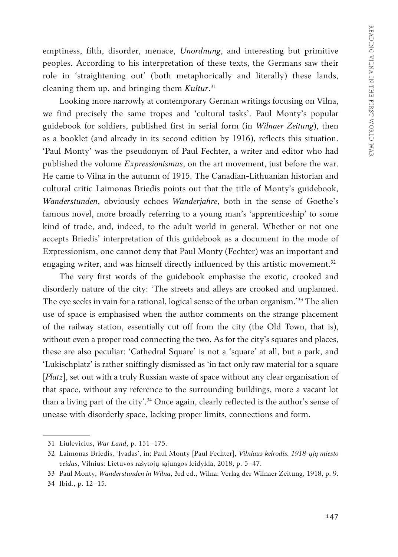emptiness, filth, disorder, menace, *Unordnung*, and interesting but primitive peoples. According to his interpretation of these texts, the Germans saw their role in 'straightening out' (both metaphorically and literally) these lands, cleaning them up, and bringing them *Kultur*. 31

Looking more narrowly at contemporary German writings focusing on Vilna, we find precisely the same tropes and 'cultural tasks'. Paul Monty's popular guidebook for soldiers, published first in serial form (in *Wilnaer Zeitung*), then as a booklet (and already in its second edition by 1916), reflects this situation. 'Paul Monty' was the pseudonym of Paul Fechter, a writer and editor who had published the volume *Expressionismus*, on the art movement, just before the war. He came to Vilna in the autumn of 1915. The Canadian-Lithuanian historian and cultural critic Laimonas Briedis points out that the title of Monty's guidebook, *Wanderstunden*, obviously echoes *Wanderjahre*, both in the sense of Goethe's famous novel, more broadly referring to a young man's 'apprenticeship' to some kind of trade, and, indeed, to the adult world in general. Whether or not one accepts Briedis' interpretation of this guidebook as a document in the mode of Expressionism, one cannot deny that Paul Monty (Fechter) was an important and engaging writer, and was himself directly influenced by this artistic movement.<sup>32</sup>

The very first words of the guidebook emphasise the exotic, crooked and disorderly nature of the city: 'The streets and alleys are crooked and unplanned. The eye seeks in vain for a rational, logical sense of the urban organism.<sup>333</sup> The alien use of space is emphasised when the author comments on the strange placement of the railway station, essentially cut off from the city (the Old Town, that is), without even a proper road connecting the two. As for the city's squares and places, these are also peculiar: 'Cathedral Square' is not a 'square' at all, but a park, and 'Lukischplatz' is rather sniffingly dismissed as 'in fact only raw material for a square [*Platz*], set out with a truly Russian waste of space without any clear organisation of that space, without any reference to the surrounding buildings, more a vacant lot than a living part of the city'.<sup>34</sup> Once again, clearly reflected is the author's sense of unease with disorderly space, lacking proper limits, connections and form.

<sup>31</sup> Liulevicius, *War Land*, p. 151–175.

<sup>32</sup> Laimonas Briedis, 'Įvadas', in: Paul Monty [Paul Fechter], *Vilniaus kelrodis. 1918-ųjų miesto veidas*, Vilnius: Lietuvos rašytojų sąjungos leidykla, 2018, p. 5–47.

<sup>33</sup> Paul Monty, *Wanderstunden in Wilna*, 3rd ed., Wilna: Verlag der Wilnaer Zeitung, 1918, p. 9. 34 Ibid*.*, p. 12–15.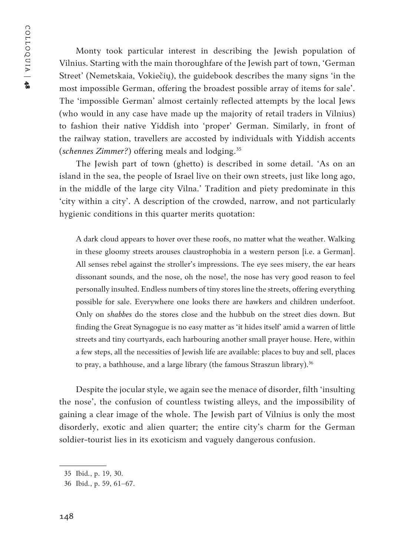COLLOQUIA | COLLOQUIA | 48

Monty took particular interest in describing the Jewish population of Vilnius. Starting with the main thoroughfare of the Jewish part of town, 'German Street' (Nemetskaia, Vokiečių), the guidebook describes the many signs 'in the most impossible German, offering the broadest possible array of items for sale'. The 'impossible German' almost certainly reflected attempts by the local Jews (who would in any case have made up the majority of retail traders in Vilnius) to fashion their native Yiddish into 'proper' German. Similarly, in front of the railway station, travellers are accosted by individuals with Yiddish accents (*schennes Zimmer?*) offering meals and lodging.<sup>35</sup>

The Jewish part of town (ghetto) is described in some detail. 'As on an island in the sea, the people of Israel live on their own streets, just like long ago, in the middle of the large city Vilna.' Tradition and piety predominate in this 'city within a city'. A description of the crowded, narrow, and not particularly hygienic conditions in this quarter merits quotation:

A dark cloud appears to hover over these roofs, no matter what the weather. Walking in these gloomy streets arouses claustrophobia in a western person [i.e. a German]. All senses rebel against the stroller's impressions. The eye sees misery, the ear hears dissonant sounds, and the nose, oh the nose!, the nose has very good reason to feel personally insulted. Endless numbers of tiny stores line the streets, offering everything possible for sale. Everywhere one looks there are hawkers and children underfoot. Only on *shabbes* do the stores close and the hubbub on the street dies down. But finding the Great Synagogue is no easy matter as 'it hides itself' amid a warren of little streets and tiny courtyards, each harbouring another small prayer house. Here, within a few steps, all the necessities of Jewish life are available: places to buy and sell, places to pray, a bathhouse, and a large library (the famous Straszun library).<sup>36</sup>

Despite the jocular style, we again see the menace of disorder, filth 'insulting the nose', the confusion of countless twisting alleys, and the impossibility of gaining a clear image of the whole. The Jewish part of Vilnius is only the most disorderly, exotic and alien quarter; the entire city's charm for the German soldier-tourist lies in its exoticism and vaguely dangerous confusion.

<sup>35</sup> Ibid*.*, p. 19, 30.

<sup>36</sup> Ibid*.*, p. 59, 61–67.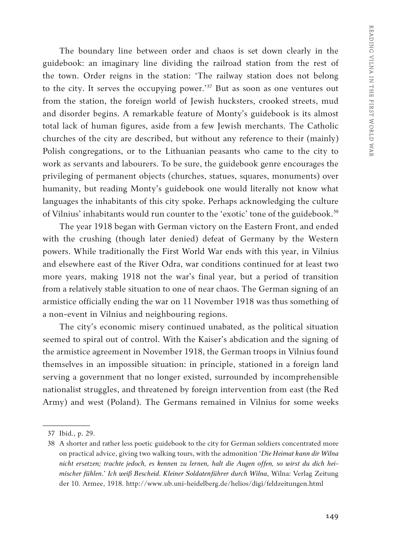The boundary line between order and chaos is set down clearly in the guidebook: an imaginary line dividing the railroad station from the rest of the town. Order reigns in the station: 'The railway station does not belong to the city. It serves the occupying power.<sup>'37</sup> But as soon as one ventures out from the station, the foreign world of Jewish hucksters, crooked streets, mud and disorder begins. A remarkable feature of Monty's guidebook is its almost total lack of human figures, aside from a few Jewish merchants. The Catholic churches of the city are described, but without any reference to their (mainly) Polish congregations, or to the Lithuanian peasants who came to the city to work as servants and labourers. To be sure, the guidebook genre encourages the privileging of permanent objects (churches, statues, squares, monuments) over humanity, but reading Monty's guidebook one would literally not know what languages the inhabitants of this city spoke. Perhaps acknowledging the culture of Vilnius' inhabitants would run counter to the 'exotic' tone of the guidebook.<sup>38</sup>

The year 1918 began with German victory on the Eastern Front, and ended with the crushing (though later denied) defeat of Germany by the Western powers. While traditionally the First World War ends with this year, in Vilnius and elsewhere east of the River Odra, war conditions continued for at least two more years, making 1918 not the war's final year, but a period of transition from a relatively stable situation to one of near chaos. The German signing of an armistice officially ending the war on 11 November 1918 was thus something of a non-event in Vilnius and neighbouring regions.

The city's economic misery continued unabated, as the political situation seemed to spiral out of control. With the Kaiser's abdication and the signing of the armistice agreement in November 1918, the German troops in Vilnius found themselves in an impossible situation: in principle, stationed in a foreign land serving a government that no longer existed, surrounded by incomprehensible nationalist struggles, and threatened by foreign intervention from east (the Red Army) and west (Poland). The Germans remained in Vilnius for some weeks

<sup>37</sup> Ibid*.*, p. 29.

<sup>38</sup> A shorter and rather less poetic guidebook to the city for German soldiers concentrated more on practical advice, giving two walking tours, with the admonition '*Die Heimat kann dir Wilna nicht ersetzen; trachte jedoch, es kennen zu lernen, halt die Augen offen, so wirst du dich heimischer fühlen*.' *Ich weiß Bescheid. Kleiner Soldatenführer durch Wilna*, Wilna: Verlag Zeitung der 10. Armee, 1918. http://www.ub.uni-heidelberg.de/helios/digi/feldzeitungen.html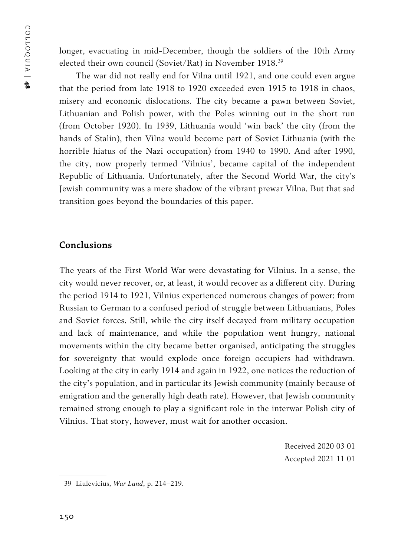longer, evacuating in mid-December, though the soldiers of the 10th Army elected their own council (Soviet/Rat) in November 1918.<sup>39</sup>

The war did not really end for Vilna until 1921, and one could even argue that the period from late 1918 to 1920 exceeded even 1915 to 1918 in chaos, misery and economic dislocations. The city became a pawn between Soviet, Lithuanian and Polish power, with the Poles winning out in the short run (from October 1920). In 1939, Lithuania would 'win back' the city (from the hands of Stalin), then Vilna would become part of Soviet Lithuania (with the horrible hiatus of the Nazi occupation) from 1940 to 1990. And after 1990, the city, now properly termed 'Vilnius', became capital of the independent Republic of Lithuania. Unfortunately, after the Second World War, the city's Jewish community was a mere shadow of the vibrant prewar Vilna. But that sad transition goes beyond the boundaries of this paper.

# **Conclusions**

The years of the First World War were devastating for Vilnius. In a sense, the city would never recover, or, at least, it would recover as a different city. During the period 1914 to 1921, Vilnius experienced numerous changes of power: from Russian to German to a confused period of struggle between Lithuanians, Poles and Soviet forces. Still, while the city itself decayed from military occupation and lack of maintenance, and while the population went hungry, national movements within the city became better organised, anticipating the struggles for sovereignty that would explode once foreign occupiers had withdrawn. Looking at the city in early 1914 and again in 1922, one notices the reduction of the city's population, and in particular its Jewish community (mainly because of emigration and the generally high death rate). However, that Jewish community remained strong enough to play a significant role in the interwar Polish city of Vilnius. That story, however, must wait for another occasion.

> Received 2020 03 01 Accepted 2021 11 01

<sup>39</sup> Liulevicius, *War Land*, p. 214–219.